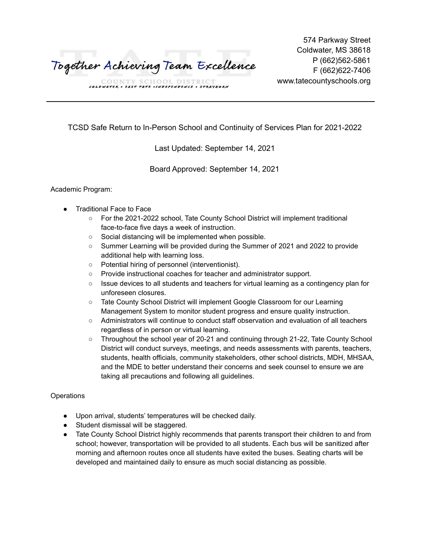Together Achieving Team Excellence

574 Parkway Street Coldwater, MS 38618 P (662)562-5861 F (662)622-7406 www.tatecountyschools.org

COUNTY SCHOOL DISTRICT<br>
COLDWATER • EAST TATE • INDEPENDENCE • STRAYHORN

TCSD Safe Return to In-Person School and Continuity of Services Plan for 2021-2022

Last Updated: September 14, 2021

Board Approved: September 14, 2021

Academic Program:

- **Traditional Face to Face** 
	- For the 2021-2022 school, Tate County School District will implement traditional face-to-face five days a week of instruction.
	- Social distancing will be implemented when possible.
	- Summer Learning will be provided during the Summer of 2021 and 2022 to provide additional help with learning loss.
	- Potential hiring of personnel (interventionist).
	- Provide instructional coaches for teacher and administrator support.
	- Issue devices to all students and teachers for virtual learning as a contingency plan for unforeseen closures.
	- Tate County School District will implement Google Classroom for our Learning Management System to monitor student progress and ensure quality instruction.
	- Administrators will continue to conduct staff observation and evaluation of all teachers regardless of in person or virtual learning.
	- Throughout the school year of 20-21 and continuing through 21-22, Tate County School District will conduct surveys, meetings, and needs assessments with parents, teachers, students, health officials, community stakeholders, other school districts, MDH, MHSAA, and the MDE to better understand their concerns and seek counsel to ensure we are taking all precautions and following all guidelines.

# **Operations**

- Upon arrival, students' temperatures will be checked daily.
- Student dismissal will be staggered.
- Tate County School District highly recommends that parents transport their children to and from school; however, transportation will be provided to all students. Each bus will be sanitized after morning and afternoon routes once all students have exited the buses. Seating charts will be developed and maintained daily to ensure as much social distancing as possible.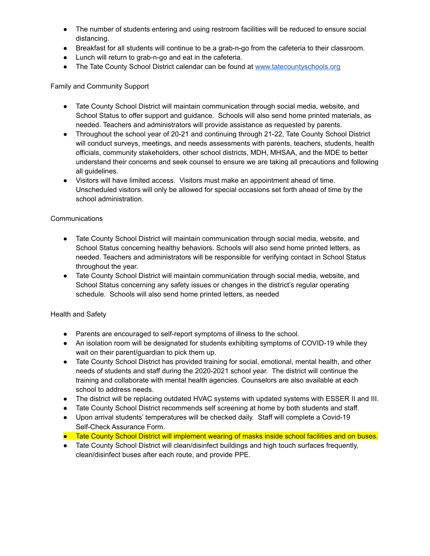- The number of students entering and using restroom facilities will be reduced to ensure social distancing.
- Breakfast for all students will continue to be a grab-n-go from the cafeteria to their classroom.
- Lunch will return to grab-n-go and eat in the cafeteria.
- The Tate County School District calendar can be found at [www.tatecountyschools.org](http://www.tatecountyschools.org)

## Family and Community Support

- Tate County School District will maintain communication through social media, website, and School Status to offer support and guidance. Schools will also send home printed materials, as needed. Teachers and administrators will provide assistance as requested by parents.
- Throughout the school year of 20-21 and continuing through 21-22, Tate County School District will conduct surveys, meetings, and needs assessments with parents, teachers, students, health officials, community stakeholders, other school districts, MDH, MHSAA, and the MDE to better understand their concerns and seek counsel to ensure we are taking all precautions and following all guidelines.
- Visitors will have limited access. Visitors must make an appointment ahead of time. Unscheduled visitors will only be allowed for special occasions set forth ahead of time by the school administration.

### **Communications**

- Tate County School District will maintain communication through social media, website, and School Status concerning healthy behaviors. Schools will also send home printed letters, as needed. Teachers and administrators will be responsible for verifying contact in School Status throughout the year.
- Tate County School District will maintain communication through social media, website, and School Status concerning any safety issues or changes in the district's regular operating schedule. Schools will also send home printed letters, as needed

#### Health and Safety

- Parents are encouraged to self-report symptoms of illness to the school.
- An isolation room will be designated for students exhibiting symptoms of COVID-19 while they wait on their parent/guardian to pick them up.
- Tate County School District has provided training for social, emotional, mental health, and other needs of students and staff during the 2020-2021 school year. The district will continue the training and collaborate with mental health agencies. Counselors are also available at each school to address needs.
- The district will be replacing outdated HVAC systems with updated systems with ESSER II and III.
- Tate County School District recommends self screening at home by both students and staff.
- Upon arrival students' temperatures will be checked daily. Staff will complete a Covid-19 Self-Check Assurance Form.
- Tate County School District will implement wearing of masks inside school facilities and on buses.
- Tate County School District will clean/disinfect buildings and high touch surfaces frequently, clean/disinfect buses after each route, and provide PPE.